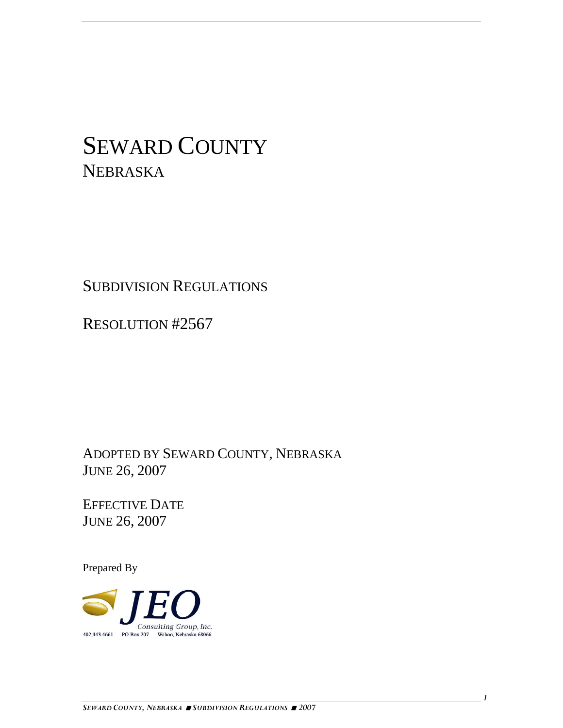# SEWARD COUNTY NEBRASKA

# SUBDIVISION REGULATIONS

RESOLUTION #2567

ADOPTED BY SEWARD COUNTY, NEBRASKA JUNE 26, 2007

EFFECTIVE DATE JUNE 26, 2007

Prepared By

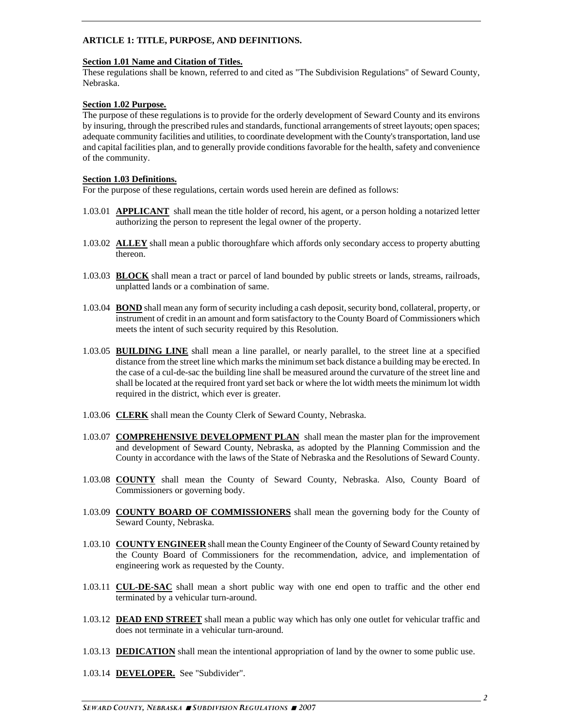#### **ARTICLE 1: TITLE, PURPOSE, AND DEFINITIONS.**

#### **Section 1.01 Name and Citation of Titles.**

These regulations shall be known, referred to and cited as "The Subdivision Regulations" of Seward County, Nebraska.

#### **Section 1.02 Purpose.**

The purpose of these regulations is to provide for the orderly development of Seward County and its environs by insuring, through the prescribed rules and standards, functional arrangements of street layouts; open spaces; adequate community facilities and utilities, to coordinate development with the County's transportation, land use and capital facilities plan, and to generally provide conditions favorable for the health, safety and convenience of the community.

#### **Section 1.03 Definitions.**

For the purpose of these regulations, certain words used herein are defined as follows:

- 1.03.01 **APPLICANT** shall mean the title holder of record, his agent, or a person holding a notarized letter authorizing the person to represent the legal owner of the property.
- 1.03.02 **ALLEY** shall mean a public thoroughfare which affords only secondary access to property abutting thereon.
- 1.03.03 **BLOCK** shall mean a tract or parcel of land bounded by public streets or lands, streams, railroads, unplatted lands or a combination of same.
- 1.03.04 **BOND** shall mean any form of security including a cash deposit, security bond, collateral, property, or instrument of credit in an amount and form satisfactory to the County Board of Commissioners which meets the intent of such security required by this Resolution.
- 1.03.05 **BUILDING LINE** shall mean a line parallel, or nearly parallel, to the street line at a specified distance from the street line which marks the minimum set back distance a building may be erected. In the case of a cul-de-sac the building line shall be measured around the curvature of the street line and shall be located at the required front yard set back or where the lot width meets the minimum lot width required in the district, which ever is greater.
- 1.03.06 **CLERK** shall mean the County Clerk of Seward County, Nebraska.
- 1.03.07 **COMPREHENSIVE DEVELOPMENT PLAN** shall mean the master plan for the improvement and development of Seward County, Nebraska, as adopted by the Planning Commission and the County in accordance with the laws of the State of Nebraska and the Resolutions of Seward County.
- 1.03.08 **COUNTY** shall mean the County of Seward County, Nebraska. Also, County Board of Commissioners or governing body.
- 1.03.09 **COUNTY BOARD OF COMMISSIONERS** shall mean the governing body for the County of Seward County, Nebraska.
- 1.03.10 **COUNTY ENGINEER** shall mean the County Engineer of the County of Seward County retained by the County Board of Commissioners for the recommendation, advice, and implementation of engineering work as requested by the County.
- 1.03.11 **CUL-DE-SAC** shall mean a short public way with one end open to traffic and the other end terminated by a vehicular turn-around.
- 1.03.12 **DEAD END STREET** shall mean a public way which has only one outlet for vehicular traffic and does not terminate in a vehicular turn-around.
- 1.03.13 **DEDICATION** shall mean the intentional appropriation of land by the owner to some public use.
- 1.03.14 **DEVELOPER.** See "Subdivider".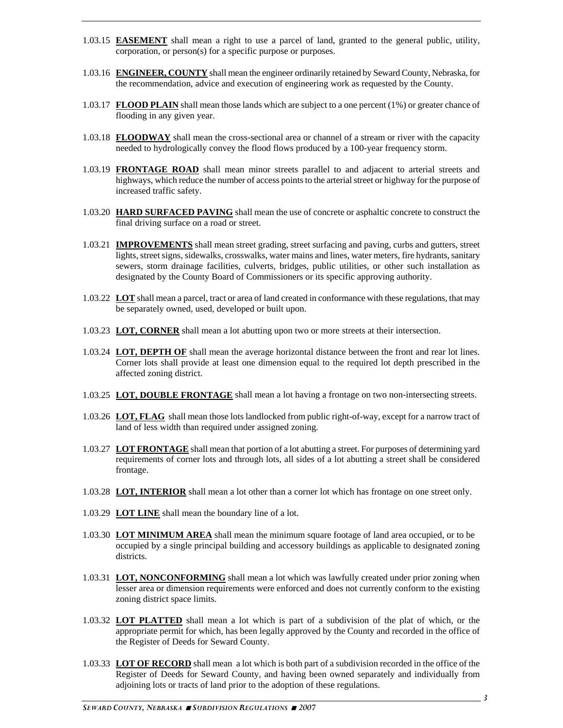- 1.03.15 **EASEMENT** shall mean a right to use a parcel of land, granted to the general public, utility, corporation, or person(s) for a specific purpose or purposes.
- 1.03.16 **ENGINEER, COUNTY** shall mean the engineer ordinarily retained by Seward County, Nebraska, for the recommendation, advice and execution of engineering work as requested by the County.
- 1.03.17 **FLOOD PLAIN** shall mean those lands which are subject to a one percent (1%) or greater chance of flooding in any given year.
- 1.03.18 **FLOODWAY** shall mean the cross-sectional area or channel of a stream or river with the capacity needed to hydrologically convey the flood flows produced by a 100-year frequency storm.
- 1.03.19 **FRONTAGE ROAD** shall mean minor streets parallel to and adjacent to arterial streets and highways, which reduce the number of access points to the arterial street or highway for the purpose of increased traffic safety.
- 1.03.20 **HARD SURFACED PAVING** shall mean the use of concrete or asphaltic concrete to construct the final driving surface on a road or street.
- 1.03.21 **IMPROVEMENTS** shall mean street grading, street surfacing and paving, curbs and gutters, street lights, street signs, sidewalks, crosswalks, water mains and lines, water meters, fire hydrants, sanitary sewers, storm drainage facilities, culverts, bridges, public utilities, or other such installation as designated by the County Board of Commissioners or its specific approving authority.
- 1.03.22 **LOT** shall mean a parcel, tract or area of land created in conformance with these regulations, that may be separately owned, used, developed or built upon.
- 1.03.23 **LOT, CORNER** shall mean a lot abutting upon two or more streets at their intersection.
- 1.03.24 **LOT, DEPTH OF** shall mean the average horizontal distance between the front and rear lot lines. Corner lots shall provide at least one dimension equal to the required lot depth prescribed in the affected zoning district.
- 1.03.25 **LOT, DOUBLE FRONTAGE** shall mean a lot having a frontage on two non-intersecting streets.
- 1.03.26 **LOT, FLAG** shall mean those lots landlocked from public right-of-way, except for a narrow tract of land of less width than required under assigned zoning.
- 1.03.27 **LOT FRONTAGE** shall mean that portion of a lot abutting a street. For purposes of determining yard requirements of corner lots and through lots, all sides of a lot abutting a street shall be considered frontage.
- 1.03.28 **LOT, INTERIOR** shall mean a lot other than a corner lot which has frontage on one street only.
- 1.03.29 **LOT LINE** shall mean the boundary line of a lot.
- 1.03.30 **LOT MINIMUM AREA** shall mean the minimum square footage of land area occupied, or to be occupied by a single principal building and accessory buildings as applicable to designated zoning districts.
- 1.03.31 **LOT, NONCONFORMING** shall mean a lot which was lawfully created under prior zoning when lesser area or dimension requirements were enforced and does not currently conform to the existing zoning district space limits.
- 1.03.32 **LOT PLATTED** shall mean a lot which is part of a subdivision of the plat of which, or the appropriate permit for which, has been legally approved by the County and recorded in the office of the Register of Deeds for Seward County.
- 1.03.33 **LOT OF RECORD** shall mean a lot which is both part of a subdivision recorded in the office of the Register of Deeds for Seward County, and having been owned separately and individually from adjoining lots or tracts of land prior to the adoption of these regulations.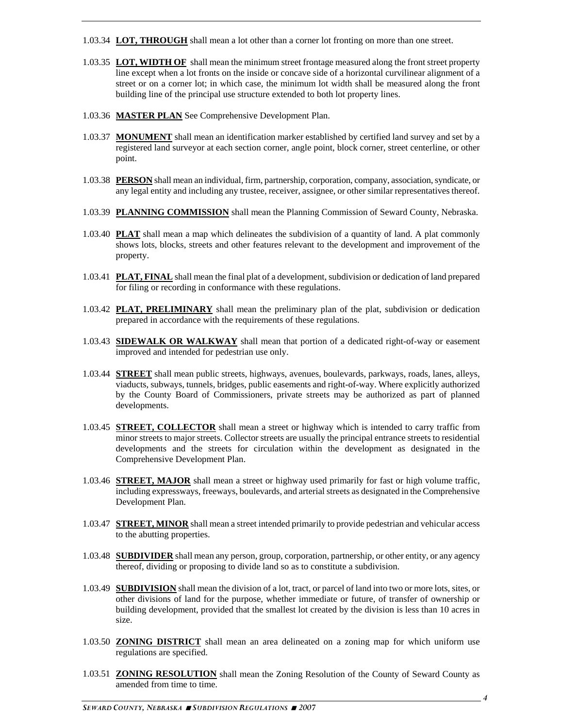- 1.03.34 **LOT, THROUGH** shall mean a lot other than a corner lot fronting on more than one street.
- 1.03.35 **LOT, WIDTH OF** shall mean the minimum street frontage measured along the front street property line except when a lot fronts on the inside or concave side of a horizontal curvilinear alignment of a street or on a corner lot; in which case, the minimum lot width shall be measured along the front building line of the principal use structure extended to both lot property lines.
- 1.03.36 **MASTER PLAN** See Comprehensive Development Plan.
- 1.03.37 **MONUMENT** shall mean an identification marker established by certified land survey and set by a registered land surveyor at each section corner, angle point, block corner, street centerline, or other point.
- 1.03.38 **PERSON** shall mean an individual, firm, partnership, corporation, company, association, syndicate, or any legal entity and including any trustee, receiver, assignee, or other similar representatives thereof.
- 1.03.39 **PLANNING COMMISSION** shall mean the Planning Commission of Seward County, Nebraska.
- 1.03.40 **PLAT** shall mean a map which delineates the subdivision of a quantity of land. A plat commonly shows lots, blocks, streets and other features relevant to the development and improvement of the property.
- 1.03.41 **PLAT, FINAL** shall mean the final plat of a development, subdivision or dedication of land prepared for filing or recording in conformance with these regulations.
- 1.03.42 **PLAT, PRELIMINARY** shall mean the preliminary plan of the plat, subdivision or dedication prepared in accordance with the requirements of these regulations.
- 1.03.43 **SIDEWALK OR WALKWAY** shall mean that portion of a dedicated right-of-way or easement improved and intended for pedestrian use only.
- 1.03.44 **STREET** shall mean public streets, highways, avenues, boulevards, parkways, roads, lanes, alleys, viaducts, subways, tunnels, bridges, public easements and right-of-way. Where explicitly authorized by the County Board of Commissioners, private streets may be authorized as part of planned developments.
- 1.03.45 **STREET, COLLECTOR** shall mean a street or highway which is intended to carry traffic from minor streets to major streets. Collector streets are usually the principal entrance streets to residential developments and the streets for circulation within the development as designated in the Comprehensive Development Plan.
- 1.03.46 **STREET, MAJOR** shall mean a street or highway used primarily for fast or high volume traffic, including expressways, freeways, boulevards, and arterial streets as designated in the Comprehensive Development Plan.
- 1.03.47 **STREET, MINOR** shall mean a street intended primarily to provide pedestrian and vehicular access to the abutting properties.
- 1.03.48 **SUBDIVIDER** shall mean any person, group, corporation, partnership, or other entity, or any agency thereof, dividing or proposing to divide land so as to constitute a subdivision.
- 1.03.49 **SUBDIVISION** shall mean the division of a lot, tract, or parcel of land into two or more lots, sites, or other divisions of land for the purpose, whether immediate or future, of transfer of ownership or building development, provided that the smallest lot created by the division is less than 10 acres in size.
- 1.03.50 **ZONING DISTRICT** shall mean an area delineated on a zoning map for which uniform use regulations are specified.
- 1.03.51 **ZONING RESOLUTION** shall mean the Zoning Resolution of the County of Seward County as amended from time to time.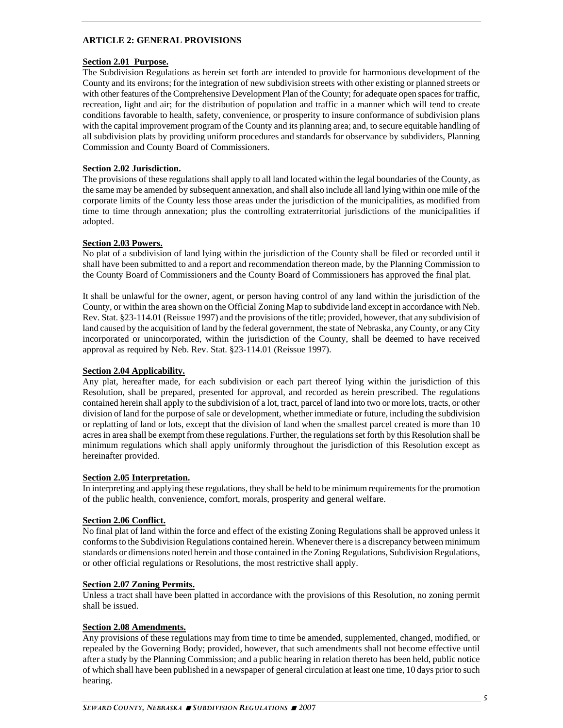#### **ARTICLE 2: GENERAL PROVISIONS**

#### **Section 2.01 Purpose.**

The Subdivision Regulations as herein set forth are intended to provide for harmonious development of the County and its environs; for the integration of new subdivision streets with other existing or planned streets or with other features of the Comprehensive Development Plan of the County; for adequate open spaces for traffic, recreation, light and air; for the distribution of population and traffic in a manner which will tend to create conditions favorable to health, safety, convenience, or prosperity to insure conformance of subdivision plans with the capital improvement program of the County and its planning area; and, to secure equitable handling of all subdivision plats by providing uniform procedures and standards for observance by subdividers, Planning Commission and County Board of Commissioners.

#### **Section 2.02 Jurisdiction.**

The provisions of these regulations shall apply to all land located within the legal boundaries of the County, as the same may be amended by subsequent annexation, and shall also include all land lying within one mile of the corporate limits of the County less those areas under the jurisdiction of the municipalities, as modified from time to time through annexation; plus the controlling extraterritorial jurisdictions of the municipalities if adopted.

#### **Section 2.03 Powers.**

No plat of a subdivision of land lying within the jurisdiction of the County shall be filed or recorded until it shall have been submitted to and a report and recommendation thereon made, by the Planning Commission to the County Board of Commissioners and the County Board of Commissioners has approved the final plat.

It shall be unlawful for the owner, agent, or person having control of any land within the jurisdiction of the County, or within the area shown on the Official Zoning Map to subdivide land except in accordance with Neb. Rev. Stat. §23-114.01 (Reissue 1997) and the provisions of the title; provided, however, that any subdivision of land caused by the acquisition of land by the federal government, the state of Nebraska, any County, or any City incorporated or unincorporated, within the jurisdiction of the County, shall be deemed to have received approval as required by Neb. Rev. Stat. §23-114.01 (Reissue 1997).

#### **Section 2.04 Applicability.**

Any plat, hereafter made, for each subdivision or each part thereof lying within the jurisdiction of this Resolution, shall be prepared, presented for approval, and recorded as herein prescribed. The regulations contained herein shall apply to the subdivision of a lot, tract, parcel of land into two or more lots, tracts, or other division of land for the purpose of sale or development, whether immediate or future, including the subdivision or replatting of land or lots, except that the division of land when the smallest parcel created is more than 10 acres in area shall be exempt from these regulations. Further, the regulations set forth by this Resolution shall be minimum regulations which shall apply uniformly throughout the jurisdiction of this Resolution except as hereinafter provided.

#### **Section 2.05 Interpretation.**

In interpreting and applying these regulations, they shall be held to be minimum requirements for the promotion of the public health, convenience, comfort, morals, prosperity and general welfare.

#### **Section 2.06 Conflict.**

No final plat of land within the force and effect of the existing Zoning Regulations shall be approved unless it conforms to the Subdivision Regulations contained herein. Whenever there is a discrepancy between minimum standards or dimensions noted herein and those contained in the Zoning Regulations, Subdivision Regulations, or other official regulations or Resolutions, the most restrictive shall apply.

#### **Section 2.07 Zoning Permits.**

Unless a tract shall have been platted in accordance with the provisions of this Resolution, no zoning permit shall be issued.

#### **Section 2.08 Amendments.**

Any provisions of these regulations may from time to time be amended, supplemented, changed, modified, or repealed by the Governing Body; provided, however, that such amendments shall not become effective until after a study by the Planning Commission; and a public hearing in relation thereto has been held, public notice of which shall have been published in a newspaper of general circulation at least one time, 10 days prior to such hearing.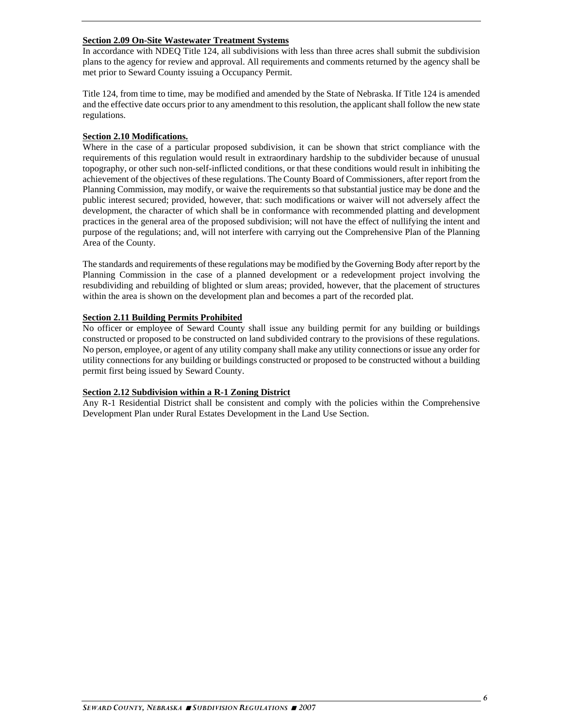#### **Section 2.09 On-Site Wastewater Treatment Systems**

In accordance with NDEQ Title 124, all subdivisions with less than three acres shall submit the subdivision plans to the agency for review and approval. All requirements and comments returned by the agency shall be met prior to Seward County issuing a Occupancy Permit.

Title 124, from time to time, may be modified and amended by the State of Nebraska. If Title 124 is amended and the effective date occurs prior to any amendment to this resolution, the applicant shall follow the new state regulations.

#### **Section 2.10 Modifications.**

Where in the case of a particular proposed subdivision, it can be shown that strict compliance with the requirements of this regulation would result in extraordinary hardship to the subdivider because of unusual topography, or other such non-self-inflicted conditions, or that these conditions would result in inhibiting the achievement of the objectives of these regulations. The County Board of Commissioners, after report from the Planning Commission, may modify, or waive the requirements so that substantial justice may be done and the public interest secured; provided, however, that: such modifications or waiver will not adversely affect the development, the character of which shall be in conformance with recommended platting and development practices in the general area of the proposed subdivision; will not have the effect of nullifying the intent and purpose of the regulations; and, will not interfere with carrying out the Comprehensive Plan of the Planning Area of the County.

The standards and requirements of these regulations may be modified by the Governing Body after report by the Planning Commission in the case of a planned development or a redevelopment project involving the resubdividing and rebuilding of blighted or slum areas; provided, however, that the placement of structures within the area is shown on the development plan and becomes a part of the recorded plat.

#### **Section 2.11 Building Permits Prohibited**

No officer or employee of Seward County shall issue any building permit for any building or buildings constructed or proposed to be constructed on land subdivided contrary to the provisions of these regulations. No person, employee, or agent of any utility company shall make any utility connections or issue any order for utility connections for any building or buildings constructed or proposed to be constructed without a building permit first being issued by Seward County.

#### **Section 2.12 Subdivision within a R-1 Zoning District**

Any R-1 Residential District shall be consistent and comply with the policies within the Comprehensive Development Plan under Rural Estates Development in the Land Use Section.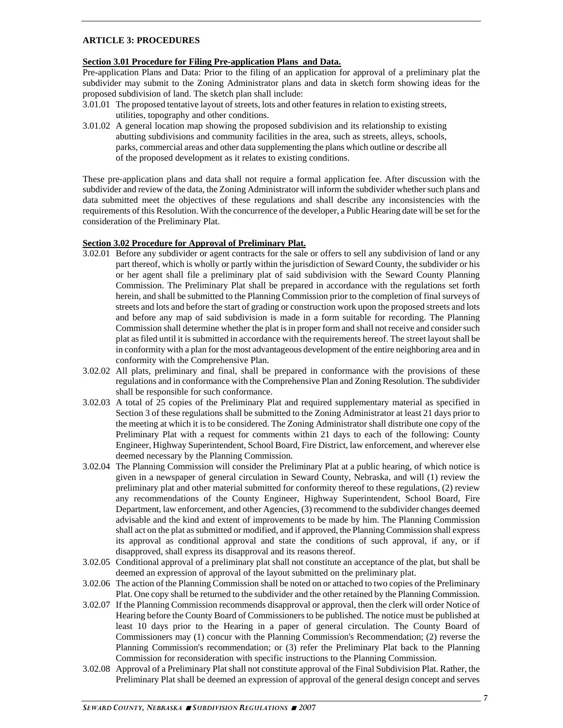#### **ARTICLE 3: PROCEDURES**

#### **Section 3.01 Procedure for Filing Pre-application Plans and Data.**

Pre-application Plans and Data: Prior to the filing of an application for approval of a preliminary plat the subdivider may submit to the Zoning Administrator plans and data in sketch form showing ideas for the proposed subdivision of land. The sketch plan shall include:

- 3.01.01 The proposed tentative layout of streets, lots and other features in relation to existing streets, utilities, topography and other conditions.
- 3.01.02 A general location map showing the proposed subdivision and its relationship to existing abutting subdivisions and community facilities in the area, such as streets, alleys, schools, parks, commercial areas and other data supplementing the plans which outline or describe all of the proposed development as it relates to existing conditions.

These pre-application plans and data shall not require a formal application fee. After discussion with the subdivider and review of the data, the Zoning Administrator will inform the subdivider whether such plans and data submitted meet the objectives of these regulations and shall describe any inconsistencies with the requirements of this Resolution. With the concurrence of the developer, a Public Hearing date will be set for the consideration of the Preliminary Plat.

#### **Section 3.02 Procedure for Approval of Preliminary Plat.**

- 3.02.01 Before any subdivider or agent contracts for the sale or offers to sell any subdivision of land or any part thereof, which is wholly or partly within the jurisdiction of Seward County, the subdivider or his or her agent shall file a preliminary plat of said subdivision with the Seward County Planning Commission. The Preliminary Plat shall be prepared in accordance with the regulations set forth herein, and shall be submitted to the Planning Commission prior to the completion of final surveys of streets and lots and before the start of grading or construction work upon the proposed streets and lots and before any map of said subdivision is made in a form suitable for recording. The Planning Commission shall determine whether the plat is in proper form and shall not receive and consider such plat as filed until it is submitted in accordance with the requirements hereof. The street layout shall be in conformity with a plan for the most advantageous development of the entire neighboring area and in conformity with the Comprehensive Plan.
- 3.02.02 All plats, preliminary and final, shall be prepared in conformance with the provisions of these regulations and in conformance with the Comprehensive Plan and Zoning Resolution. The subdivider shall be responsible for such conformance.
- 3.02.03 A total of 25 copies of the Preliminary Plat and required supplementary material as specified in Section 3 of these regulations shall be submitted to the Zoning Administrator at least 21 days prior to the meeting at which it is to be considered. The Zoning Administrator shall distribute one copy of the Preliminary Plat with a request for comments within 21 days to each of the following: County Engineer, Highway Superintendent, School Board, Fire District, law enforcement, and wherever else deemed necessary by the Planning Commission.
- 3.02.04 The Planning Commission will consider the Preliminary Plat at a public hearing, of which notice is given in a newspaper of general circulation in Seward County, Nebraska, and will (1) review the preliminary plat and other material submitted for conformity thereof to these regulations, (2) review any recommendations of the County Engineer, Highway Superintendent, School Board, Fire Department, law enforcement, and other Agencies, (3) recommend to the subdivider changes deemed advisable and the kind and extent of improvements to be made by him. The Planning Commission shall act on the plat as submitted or modified, and if approved, the Planning Commission shall express its approval as conditional approval and state the conditions of such approval, if any, or if disapproved, shall express its disapproval and its reasons thereof.
- 3.02.05 Conditional approval of a preliminary plat shall not constitute an acceptance of the plat, but shall be deemed an expression of approval of the layout submitted on the preliminary plat.
- 3.02.06 The action of the Planning Commission shall be noted on or attached to two copies of the Preliminary Plat. One copy shall be returned to the subdivider and the other retained by the Planning Commission.
- 3.02.07 If the Planning Commission recommends disapproval or approval, then the clerk will order Notice of Hearing before the County Board of Commissioners to be published. The notice must be published at least 10 days prior to the Hearing in a paper of general circulation. The County Board of Commissioners may (1) concur with the Planning Commission's Recommendation; (2) reverse the Planning Commission's recommendation; or (3) refer the Preliminary Plat back to the Planning Commission for reconsideration with specific instructions to the Planning Commission.
- 3.02.08 Approval of a Preliminary Plat shall not constitute approval of the Final Subdivision Plat. Rather, the Preliminary Plat shall be deemed an expression of approval of the general design concept and serves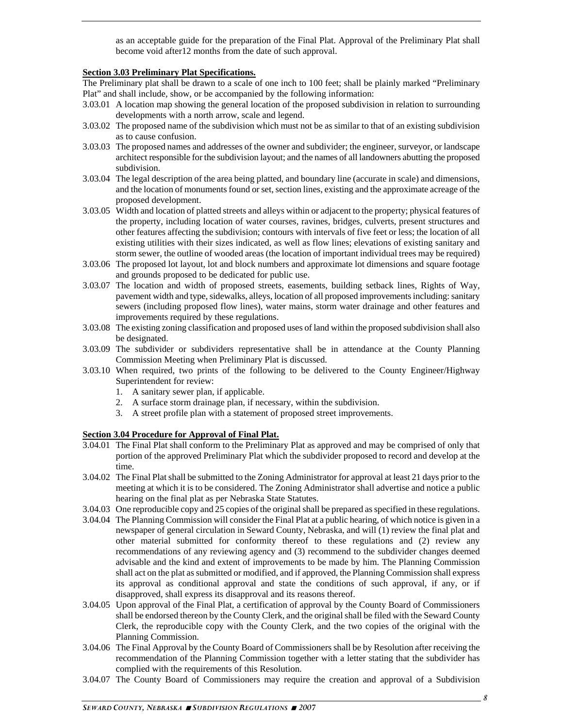as an acceptable guide for the preparation of the Final Plat. Approval of the Preliminary Plat shall become void after12 months from the date of such approval.

#### **Section 3.03 Preliminary Plat Specifications.**

The Preliminary plat shall be drawn to a scale of one inch to 100 feet; shall be plainly marked "Preliminary Plat" and shall include, show, or be accompanied by the following information:

- 3.03.01 A location map showing the general location of the proposed subdivision in relation to surrounding developments with a north arrow, scale and legend.
- 3.03.02 The proposed name of the subdivision which must not be as similar to that of an existing subdivision as to cause confusion.
- 3.03.03 The proposed names and addresses of the owner and subdivider; the engineer, surveyor, or landscape architect responsible for the subdivision layout; and the names of all landowners abutting the proposed subdivision.
- 3.03.04 The legal description of the area being platted, and boundary line (accurate in scale) and dimensions, and the location of monuments found or set, section lines, existing and the approximate acreage of the proposed development.
- 3.03.05 Width and location of platted streets and alleys within or adjacent to the property; physical features of the property, including location of water courses, ravines, bridges, culverts, present structures and other features affecting the subdivision; contours with intervals of five feet or less; the location of all existing utilities with their sizes indicated, as well as flow lines; elevations of existing sanitary and storm sewer, the outline of wooded areas (the location of important individual trees may be required)
- 3.03.06 The proposed lot layout, lot and block numbers and approximate lot dimensions and square footage and grounds proposed to be dedicated for public use.
- 3.03.07 The location and width of proposed streets, easements, building setback lines, Rights of Way, pavement width and type, sidewalks, alleys, location of all proposed improvements including: sanitary sewers (including proposed flow lines), water mains, storm water drainage and other features and improvements required by these regulations.
- 3.03.08 The existing zoning classification and proposed uses of land within the proposed subdivision shall also be designated.
- 3.03.09 The subdivider or subdividers representative shall be in attendance at the County Planning Commission Meeting when Preliminary Plat is discussed.
- 3.03.10 When required, two prints of the following to be delivered to the County Engineer/Highway Superintendent for review:
	- 1. A sanitary sewer plan, if applicable.
	- 2. A surface storm drainage plan, if necessary, within the subdivision.
	- 3. A street profile plan with a statement of proposed street improvements.

#### **Section 3.04 Procedure for Approval of Final Plat.**

- 3.04.01 The Final Plat shall conform to the Preliminary Plat as approved and may be comprised of only that portion of the approved Preliminary Plat which the subdivider proposed to record and develop at the time.
- 3.04.02 The Final Plat shall be submitted to the Zoning Administrator for approval at least 21 days prior to the meeting at which it is to be considered. The Zoning Administrator shall advertise and notice a public hearing on the final plat as per Nebraska State Statutes.
- 3.04.03 One reproducible copy and 25 copies of the original shall be prepared as specified in these regulations.
- 3.04.04 The Planning Commission will consider the Final Plat at a public hearing, of which notice is given in a newspaper of general circulation in Seward County, Nebraska, and will (1) review the final plat and other material submitted for conformity thereof to these regulations and (2) review any recommendations of any reviewing agency and (3) recommend to the subdivider changes deemed advisable and the kind and extent of improvements to be made by him. The Planning Commission shall act on the plat as submitted or modified, and if approved, the Planning Commission shall express its approval as conditional approval and state the conditions of such approval, if any, or if disapproved, shall express its disapproval and its reasons thereof.
- 3.04.05 Upon approval of the Final Plat, a certification of approval by the County Board of Commissioners shall be endorsed thereon by the County Clerk, and the original shall be filed with the Seward County Clerk, the reproducible copy with the County Clerk, and the two copies of the original with the Planning Commission.
- 3.04.06 The Final Approval by the County Board of Commissioners shall be by Resolution after receiving the recommendation of the Planning Commission together with a letter stating that the subdivider has complied with the requirements of this Resolution.
- 3.04.07 The County Board of Commissioners may require the creation and approval of a Subdivision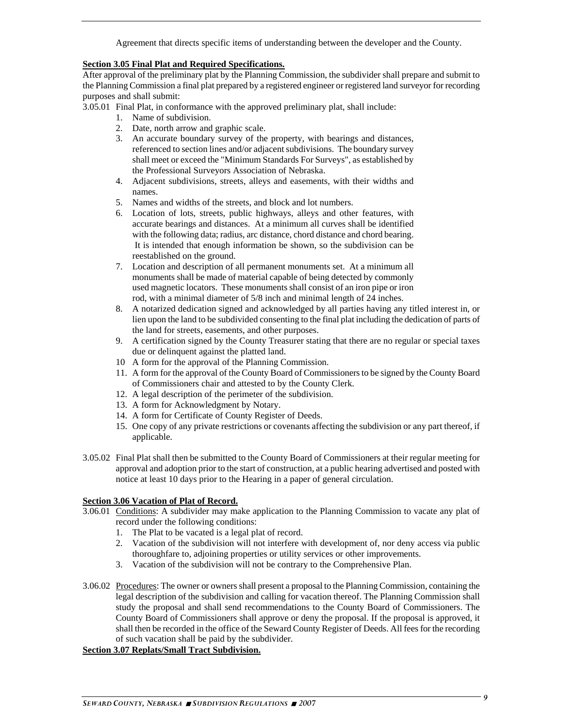Agreement that directs specific items of understanding between the developer and the County.

#### **Section 3.05 Final Plat and Required Specifications.**

After approval of the preliminary plat by the Planning Commission, the subdivider shall prepare and submit to the Planning Commission a final plat prepared by a registered engineer or registered land surveyor for recording purposes and shall submit:

3.05.01 Final Plat, in conformance with the approved preliminary plat, shall include:

- 1. Name of subdivision.
- 2. Date, north arrow and graphic scale.
- 3. An accurate boundary survey of the property, with bearings and distances, referenced to section lines and/or adjacent subdivisions. The boundary survey shall meet or exceed the "Minimum Standards For Surveys", as established by the Professional Surveyors Association of Nebraska.
- 4. Adjacent subdivisions, streets, alleys and easements, with their widths and names.
- 5. Names and widths of the streets, and block and lot numbers.
- 6. Location of lots, streets, public highways, alleys and other features, with accurate bearings and distances. At a minimum all curves shall be identified with the following data; radius, arc distance, chord distance and chord bearing. It is intended that enough information be shown, so the subdivision can be reestablished on the ground.
- 7. Location and description of all permanent monuments set. At a minimum all monuments shall be made of material capable of being detected by commonly used magnetic locators. These monuments shall consist of an iron pipe or iron rod, with a minimal diameter of 5/8 inch and minimal length of 24 inches.
- 8. A notarized dedication signed and acknowledged by all parties having any titled interest in, or lien upon the land to be subdivided consenting to the final plat including the dedication of parts of the land for streets, easements, and other purposes.
- 9. A certification signed by the County Treasurer stating that there are no regular or special taxes due or delinquent against the platted land.
- 10 A form for the approval of the Planning Commission.
- 11. A form for the approval of the County Board of Commissioners to be signed by the County Board of Commissioners chair and attested to by the County Clerk.
- 12. A legal description of the perimeter of the subdivision.
- 13. A form for Acknowledgment by Notary.
- 14. A form for Certificate of County Register of Deeds.
- 15. One copy of any private restrictions or covenants affecting the subdivision or any part thereof, if applicable.
- 3.05.02 Final Plat shall then be submitted to the County Board of Commissioners at their regular meeting for approval and adoption prior to the start of construction, at a public hearing advertised and posted with notice at least 10 days prior to the Hearing in a paper of general circulation.

#### **Section 3.06 Vacation of Plat of Record.**

- 3.06.01 Conditions: A subdivider may make application to the Planning Commission to vacate any plat of record under the following conditions:
	- 1. The Plat to be vacated is a legal plat of record.
	- 2. Vacation of the subdivision will not interfere with development of, nor deny access via public thoroughfare to, adjoining properties or utility services or other improvements.
	- 3. Vacation of the subdivision will not be contrary to the Comprehensive Plan.
- 3.06.02 Procedures: The owner or owners shall present a proposal to the Planning Commission, containing the legal description of the subdivision and calling for vacation thereof. The Planning Commission shall study the proposal and shall send recommendations to the County Board of Commissioners. The County Board of Commissioners shall approve or deny the proposal. If the proposal is approved, it shall then be recorded in the office of the Seward County Register of Deeds. All fees for the recording of such vacation shall be paid by the subdivider.

#### **Section 3.07 Replats/Small Tract Subdivision.**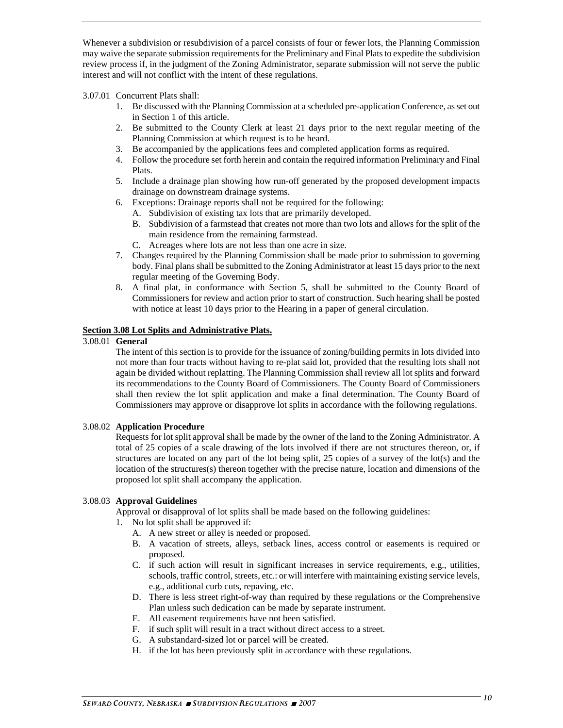Whenever a subdivision or resubdivision of a parcel consists of four or fewer lots, the Planning Commission may waive the separate submission requirements for the Preliminary and Final Plats to expedite the subdivision review process if, in the judgment of the Zoning Administrator, separate submission will not serve the public interest and will not conflict with the intent of these regulations.

#### 3.07.01 Concurrent Plats shall:

- 1. Be discussed with the Planning Commission at a scheduled pre-application Conference, as set out in Section 1 of this article.
- 2. Be submitted to the County Clerk at least 21 days prior to the next regular meeting of the Planning Commission at which request is to be heard.
- 3. Be accompanied by the applications fees and completed application forms as required.
- 4. Follow the procedure set forth herein and contain the required information Preliminary and Final Plats.
- 5. Include a drainage plan showing how run-off generated by the proposed development impacts drainage on downstream drainage systems.
- 6. Exceptions: Drainage reports shall not be required for the following:
	- A. Subdivision of existing tax lots that are primarily developed.
	- B. Subdivision of a farmstead that creates not more than two lots and allows for the split of the main residence from the remaining farmstead.
	- C. Acreages where lots are not less than one acre in size.
- 7. Changes required by the Planning Commission shall be made prior to submission to governing body. Final plans shall be submitted to the Zoning Administrator at least 15 days prior to the next regular meeting of the Governing Body.
- 8. A final plat, in conformance with Section 5, shall be submitted to the County Board of Commissioners for review and action prior to start of construction. Such hearing shall be posted with notice at least 10 days prior to the Hearing in a paper of general circulation.

#### **Section 3.08 Lot Splits and Administrative Plats.**

#### 3.08.01 **General**

 The intent of this section is to provide for the issuance of zoning/building permits in lots divided into not more than four tracts without having to re-plat said lot, provided that the resulting lots shall not again be divided without replatting. The Planning Commission shall review all lot splits and forward its recommendations to the County Board of Commissioners. The County Board of Commissioners shall then review the lot split application and make a final determination. The County Board of Commissioners may approve or disapprove lot splits in accordance with the following regulations.

#### 3.08.02 **Application Procedure**

 Requests for lot split approval shall be made by the owner of the land to the Zoning Administrator. A total of 25 copies of a scale drawing of the lots involved if there are not structures thereon, or, if structures are located on any part of the lot being split, 25 copies of a survey of the lot(s) and the location of the structures(s) thereon together with the precise nature, location and dimensions of the proposed lot split shall accompany the application.

#### 3.08.03 **Approval Guidelines**

Approval or disapproval of lot splits shall be made based on the following guidelines:

- 1. No lot split shall be approved if:
	- A. A new street or alley is needed or proposed.
	- B. A vacation of streets, alleys, setback lines, access control or easements is required or proposed.
	- C. if such action will result in significant increases in service requirements, e.g., utilities, schools, traffic control, streets, etc.: or will interfere with maintaining existing service levels, e.g., additional curb cuts, repaving, etc.
	- D. There is less street right-of-way than required by these regulations or the Comprehensive Plan unless such dedication can be made by separate instrument.
	- E. All easement requirements have not been satisfied.
	- F. if such split will result in a tract without direct access to a street.
	- G. A substandard-sized lot or parcel will be created.
	- H. if the lot has been previously split in accordance with these regulations.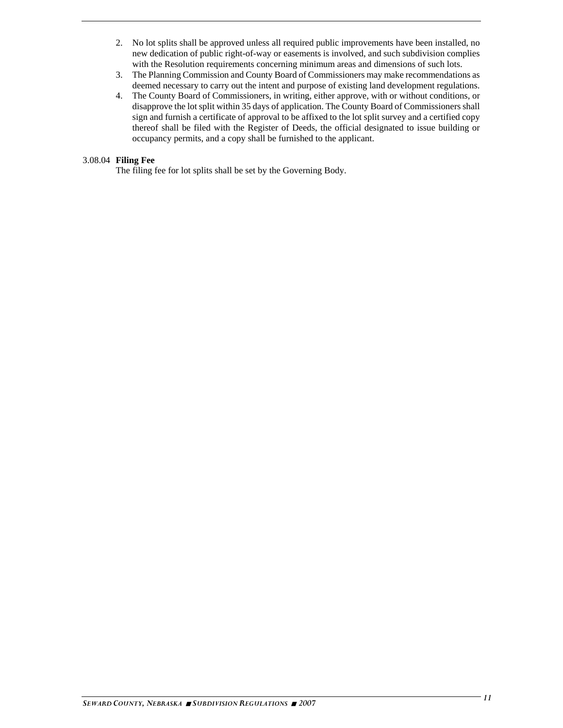- 2. No lot splits shall be approved unless all required public improvements have been installed, no new dedication of public right-of-way or easements is involved, and such subdivision complies with the Resolution requirements concerning minimum areas and dimensions of such lots.
- 3. The Planning Commission and County Board of Commissioners may make recommendations as deemed necessary to carry out the intent and purpose of existing land development regulations.
- 4. The County Board of Commissioners, in writing, either approve, with or without conditions, or disapprove the lot split within 35 days of application. The County Board of Commissioners shall sign and furnish a certificate of approval to be affixed to the lot split survey and a certified copy thereof shall be filed with the Register of Deeds, the official designated to issue building or occupancy permits, and a copy shall be furnished to the applicant.

#### 3.08.04 **Filing Fee**

The filing fee for lot splits shall be set by the Governing Body.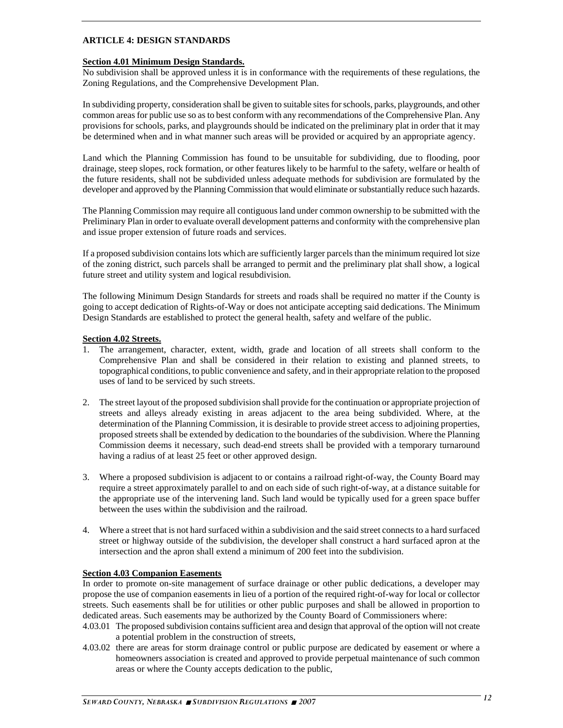#### **ARTICLE 4: DESIGN STANDARDS**

#### **Section 4.01 Minimum Design Standards.**

No subdivision shall be approved unless it is in conformance with the requirements of these regulations, the Zoning Regulations, and the Comprehensive Development Plan.

In subdividing property, consideration shall be given to suitable sites for schools, parks, playgrounds, and other common areas for public use so as to best conform with any recommendations of the Comprehensive Plan. Any provisions for schools, parks, and playgrounds should be indicated on the preliminary plat in order that it may be determined when and in what manner such areas will be provided or acquired by an appropriate agency.

Land which the Planning Commission has found to be unsuitable for subdividing, due to flooding, poor drainage, steep slopes, rock formation, or other features likely to be harmful to the safety, welfare or health of the future residents, shall not be subdivided unless adequate methods for subdivision are formulated by the developer and approved by the Planning Commission that would eliminate or substantially reduce such hazards.

The Planning Commission may require all contiguous land under common ownership to be submitted with the Preliminary Plan in order to evaluate overall development patterns and conformity with the comprehensive plan and issue proper extension of future roads and services.

If a proposed subdivision contains lots which are sufficiently larger parcels than the minimum required lot size of the zoning district, such parcels shall be arranged to permit and the preliminary plat shall show, a logical future street and utility system and logical resubdivision.

The following Minimum Design Standards for streets and roads shall be required no matter if the County is going to accept dedication of Rights-of-Way or does not anticipate accepting said dedications. The Minimum Design Standards are established to protect the general health, safety and welfare of the public.

#### **Section 4.02 Streets.**

- 1. The arrangement, character, extent, width, grade and location of all streets shall conform to the Comprehensive Plan and shall be considered in their relation to existing and planned streets, to topographical conditions, to public convenience and safety, and in their appropriate relation to the proposed uses of land to be serviced by such streets.
- 2. The street layout of the proposed subdivision shall provide for the continuation or appropriate projection of streets and alleys already existing in areas adjacent to the area being subdivided. Where, at the determination of the Planning Commission, it is desirable to provide street access to adjoining properties, proposed streets shall be extended by dedication to the boundaries of the subdivision. Where the Planning Commission deems it necessary, such dead-end streets shall be provided with a temporary turnaround having a radius of at least 25 feet or other approved design.
- 3. Where a proposed subdivision is adjacent to or contains a railroad right-of-way, the County Board may require a street approximately parallel to and on each side of such right-of-way, at a distance suitable for the appropriate use of the intervening land. Such land would be typically used for a green space buffer between the uses within the subdivision and the railroad.
- 4. Where a street that is not hard surfaced within a subdivision and the said street connects to a hard surfaced street or highway outside of the subdivision, the developer shall construct a hard surfaced apron at the intersection and the apron shall extend a minimum of 200 feet into the subdivision.

#### **Section 4.03 Companion Easements**

In order to promote on-site management of surface drainage or other public dedications, a developer may propose the use of companion easements in lieu of a portion of the required right-of-way for local or collector streets. Such easements shall be for utilities or other public purposes and shall be allowed in proportion to dedicated areas. Such easements may be authorized by the County Board of Commissioners where:

- 4.03.01 The proposed subdivision contains sufficient area and design that approval of the option will not create a potential problem in the construction of streets,
- 4.03.02 there are areas for storm drainage control or public purpose are dedicated by easement or where a homeowners association is created and approved to provide perpetual maintenance of such common areas or where the County accepts dedication to the public,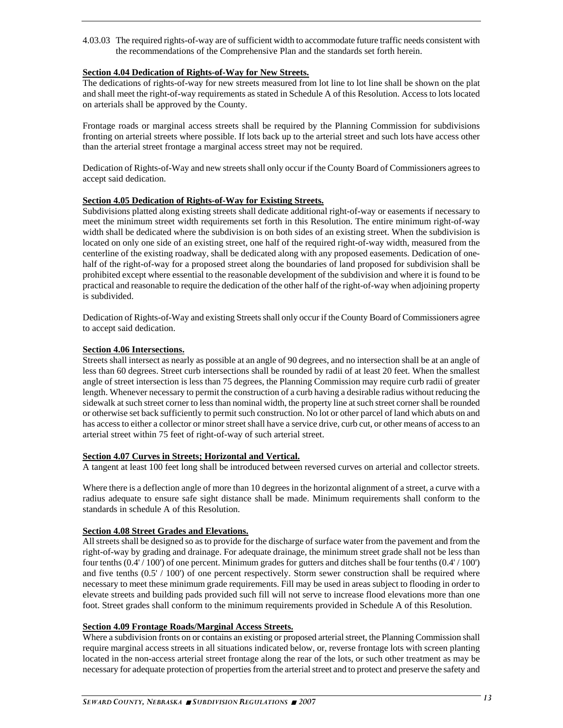4.03.03 The required rights-of-way are of sufficient width to accommodate future traffic needs consistent with the recommendations of the Comprehensive Plan and the standards set forth herein.

#### **Section 4.04 Dedication of Rights-of-Way for New Streets.**

The dedications of rights-of-way for new streets measured from lot line to lot line shall be shown on the plat and shall meet the right-of-way requirements as stated in Schedule A of this Resolution. Access to lots located on arterials shall be approved by the County.

Frontage roads or marginal access streets shall be required by the Planning Commission for subdivisions fronting on arterial streets where possible. If lots back up to the arterial street and such lots have access other than the arterial street frontage a marginal access street may not be required.

Dedication of Rights-of-Way and new streets shall only occur if the County Board of Commissioners agrees to accept said dedication.

#### **Section 4.05 Dedication of Rights-of-Way for Existing Streets.**

Subdivisions platted along existing streets shall dedicate additional right-of-way or easements if necessary to meet the minimum street width requirements set forth in this Resolution. The entire minimum right-of-way width shall be dedicated where the subdivision is on both sides of an existing street. When the subdivision is located on only one side of an existing street, one half of the required right-of-way width, measured from the centerline of the existing roadway, shall be dedicated along with any proposed easements. Dedication of onehalf of the right-of-way for a proposed street along the boundaries of land proposed for subdivision shall be prohibited except where essential to the reasonable development of the subdivision and where it is found to be practical and reasonable to require the dedication of the other half of the right-of-way when adjoining property is subdivided.

Dedication of Rights-of-Way and existing Streets shall only occur if the County Board of Commissioners agree to accept said dedication.

#### **Section 4.06 Intersections.**

Streets shall intersect as nearly as possible at an angle of 90 degrees, and no intersection shall be at an angle of less than 60 degrees. Street curb intersections shall be rounded by radii of at least 20 feet. When the smallest angle of street intersection is less than 75 degrees, the Planning Commission may require curb radii of greater length. Whenever necessary to permit the construction of a curb having a desirable radius without reducing the sidewalk at such street corner to less than nominal width, the property line at such street corner shall be rounded or otherwise set back sufficiently to permit such construction. No lot or other parcel of land which abuts on and has access to either a collector or minor street shall have a service drive, curb cut, or other means of access to an arterial street within 75 feet of right-of-way of such arterial street.

#### **Section 4.07 Curves in Streets; Horizontal and Vertical.**

A tangent at least 100 feet long shall be introduced between reversed curves on arterial and collector streets.

Where there is a deflection angle of more than 10 degrees in the horizontal alignment of a street, a curve with a radius adequate to ensure safe sight distance shall be made. Minimum requirements shall conform to the standards in schedule A of this Resolution.

#### **Section 4.08 Street Grades and Elevations.**

All streets shall be designed so as to provide for the discharge of surface water from the pavement and from the right-of-way by grading and drainage. For adequate drainage, the minimum street grade shall not be less than four tenths (0.4' / 100') of one percent. Minimum grades for gutters and ditches shall be four tenths (0.4' / 100') and five tenths (0.5' / 100') of one percent respectively. Storm sewer construction shall be required where necessary to meet these minimum grade requirements. Fill may be used in areas subject to flooding in order to elevate streets and building pads provided such fill will not serve to increase flood elevations more than one foot. Street grades shall conform to the minimum requirements provided in Schedule A of this Resolution.

#### **Section 4.09 Frontage Roads/Marginal Access Streets.**

Where a subdivision fronts on or contains an existing or proposed arterial street, the Planning Commission shall require marginal access streets in all situations indicated below, or, reverse frontage lots with screen planting located in the non-access arterial street frontage along the rear of the lots, or such other treatment as may be necessary for adequate protection of properties from the arterial street and to protect and preserve the safety and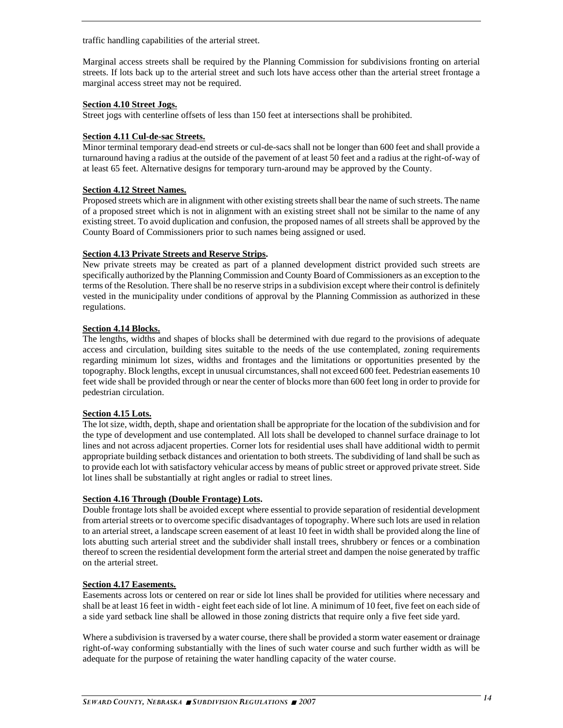traffic handling capabilities of the arterial street.

Marginal access streets shall be required by the Planning Commission for subdivisions fronting on arterial streets. If lots back up to the arterial street and such lots have access other than the arterial street frontage a marginal access street may not be required.

#### **Section 4.10 Street Jogs.**

Street jogs with centerline offsets of less than 150 feet at intersections shall be prohibited.

#### **Section 4.11 Cul-de-sac Streets.**

Minor terminal temporary dead-end streets or cul-de-sacs shall not be longer than 600 feet and shall provide a turnaround having a radius at the outside of the pavement of at least 50 feet and a radius at the right-of-way of at least 65 feet. Alternative designs for temporary turn-around may be approved by the County.

#### **Section 4.12 Street Names.**

Proposed streets which are in alignment with other existing streets shall bear the name of such streets. The name of a proposed street which is not in alignment with an existing street shall not be similar to the name of any existing street. To avoid duplication and confusion, the proposed names of all streets shall be approved by the County Board of Commissioners prior to such names being assigned or used.

#### **Section 4.13 Private Streets and Reserve Strips.**

New private streets may be created as part of a planned development district provided such streets are specifically authorized by the Planning Commission and County Board of Commissioners as an exception to the terms of the Resolution. There shall be no reserve strips in a subdivision except where their control is definitely vested in the municipality under conditions of approval by the Planning Commission as authorized in these regulations.

#### **Section 4.14 Blocks.**

The lengths, widths and shapes of blocks shall be determined with due regard to the provisions of adequate access and circulation, building sites suitable to the needs of the use contemplated, zoning requirements regarding minimum lot sizes, widths and frontages and the limitations or opportunities presented by the topography. Block lengths, except in unusual circumstances, shall not exceed 600 feet. Pedestrian easements 10 feet wide shall be provided through or near the center of blocks more than 600 feet long in order to provide for pedestrian circulation.

#### **Section 4.15 Lots.**

The lot size, width, depth, shape and orientation shall be appropriate for the location of the subdivision and for the type of development and use contemplated. All lots shall be developed to channel surface drainage to lot lines and not across adjacent properties. Corner lots for residential uses shall have additional width to permit appropriate building setback distances and orientation to both streets. The subdividing of land shall be such as to provide each lot with satisfactory vehicular access by means of public street or approved private street. Side lot lines shall be substantially at right angles or radial to street lines.

#### **Section 4.16 Through (Double Frontage) Lots.**

Double frontage lots shall be avoided except where essential to provide separation of residential development from arterial streets or to overcome specific disadvantages of topography. Where such lots are used in relation to an arterial street, a landscape screen easement of at least 10 feet in width shall be provided along the line of lots abutting such arterial street and the subdivider shall install trees, shrubbery or fences or a combination thereof to screen the residential development form the arterial street and dampen the noise generated by traffic on the arterial street.

#### **Section 4.17 Easements.**

Easements across lots or centered on rear or side lot lines shall be provided for utilities where necessary and shall be at least 16 feet in width - eight feet each side of lot line. A minimum of 10 feet, five feet on each side of a side yard setback line shall be allowed in those zoning districts that require only a five feet side yard.

Where a subdivision is traversed by a water course, there shall be provided a storm water easement or drainage right-of-way conforming substantially with the lines of such water course and such further width as will be adequate for the purpose of retaining the water handling capacity of the water course.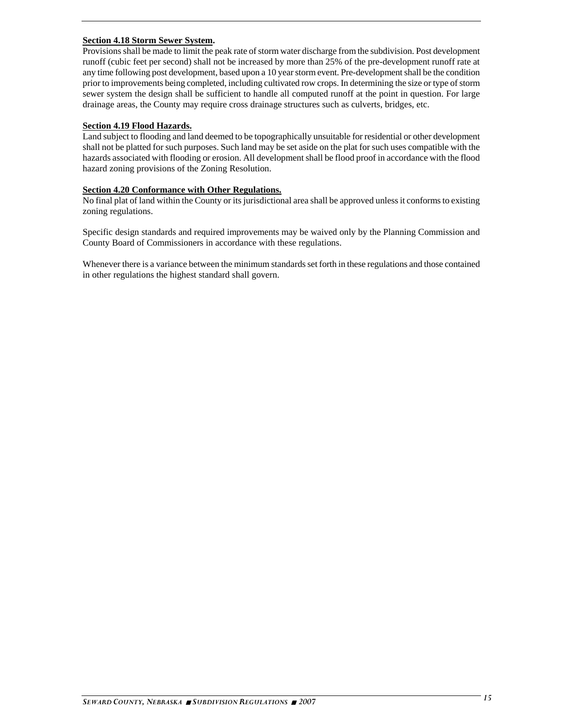#### **Section 4.18 Storm Sewer System.**

Provisions shall be made to limit the peak rate of storm water discharge from the subdivision. Post development runoff (cubic feet per second) shall not be increased by more than 25% of the pre-development runoff rate at any time following post development, based upon a 10 year storm event. Pre-development shall be the condition prior to improvements being completed, including cultivated row crops. In determining the size or type of storm sewer system the design shall be sufficient to handle all computed runoff at the point in question. For large drainage areas, the County may require cross drainage structures such as culverts, bridges, etc.

#### **Section 4.19 Flood Hazards.**

Land subject to flooding and land deemed to be topographically unsuitable for residential or other development shall not be platted for such purposes. Such land may be set aside on the plat for such uses compatible with the hazards associated with flooding or erosion. All development shall be flood proof in accordance with the flood hazard zoning provisions of the Zoning Resolution.

#### **Section 4.20 Conformance with Other Regulations.**

No final plat of land within the County or its jurisdictional area shall be approved unless it conforms to existing zoning regulations.

Specific design standards and required improvements may be waived only by the Planning Commission and County Board of Commissioners in accordance with these regulations.

Whenever there is a variance between the minimum standards set forth in these regulations and those contained in other regulations the highest standard shall govern.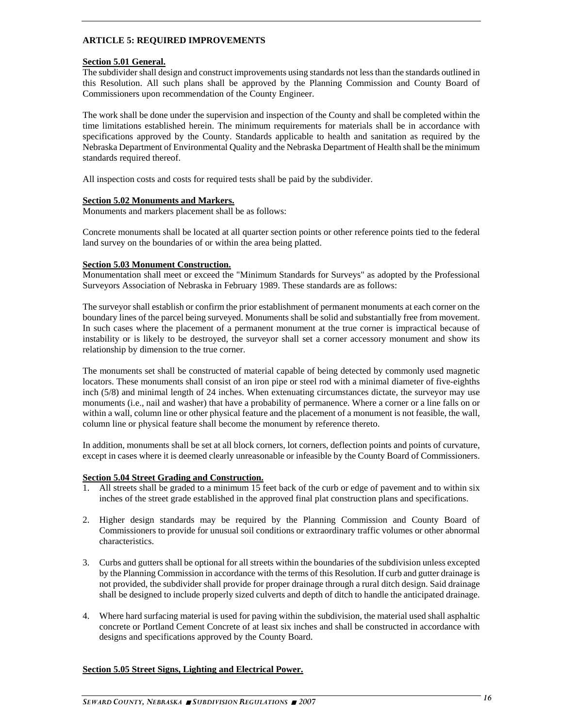#### **ARTICLE 5: REQUIRED IMPROVEMENTS**

#### **Section 5.01 General.**

The subdivider shall design and construct improvements using standards not less than the standards outlined in this Resolution. All such plans shall be approved by the Planning Commission and County Board of Commissioners upon recommendation of the County Engineer.

The work shall be done under the supervision and inspection of the County and shall be completed within the time limitations established herein. The minimum requirements for materials shall be in accordance with specifications approved by the County. Standards applicable to health and sanitation as required by the Nebraska Department of Environmental Quality and the Nebraska Department of Health shall be the minimum standards required thereof.

All inspection costs and costs for required tests shall be paid by the subdivider.

#### **Section 5.02 Monuments and Markers.**

Monuments and markers placement shall be as follows:

Concrete monuments shall be located at all quarter section points or other reference points tied to the federal land survey on the boundaries of or within the area being platted.

#### **Section 5.03 Monument Construction.**

Monumentation shall meet or exceed the "Minimum Standards for Surveys" as adopted by the Professional Surveyors Association of Nebraska in February 1989. These standards are as follows:

The surveyor shall establish or confirm the prior establishment of permanent monuments at each corner on the boundary lines of the parcel being surveyed. Monuments shall be solid and substantially free from movement. In such cases where the placement of a permanent monument at the true corner is impractical because of instability or is likely to be destroyed, the surveyor shall set a corner accessory monument and show its relationship by dimension to the true corner.

The monuments set shall be constructed of material capable of being detected by commonly used magnetic locators. These monuments shall consist of an iron pipe or steel rod with a minimal diameter of five-eighths inch (5/8) and minimal length of 24 inches. When extenuating circumstances dictate, the surveyor may use monuments (i.e., nail and washer) that have a probability of permanence. Where a corner or a line falls on or within a wall, column line or other physical feature and the placement of a monument is not feasible, the wall, column line or physical feature shall become the monument by reference thereto.

In addition, monuments shall be set at all block corners, lot corners, deflection points and points of curvature, except in cases where it is deemed clearly unreasonable or infeasible by the County Board of Commissioners.

#### **Section 5.04 Street Grading and Construction.**

- 1. All streets shall be graded to a minimum 15 feet back of the curb or edge of pavement and to within six inches of the street grade established in the approved final plat construction plans and specifications.
- 2. Higher design standards may be required by the Planning Commission and County Board of Commissioners to provide for unusual soil conditions or extraordinary traffic volumes or other abnormal characteristics.
- 3. Curbs and gutters shall be optional for all streets within the boundaries of the subdivision unless excepted by the Planning Commission in accordance with the terms of this Resolution. If curb and gutter drainage is not provided, the subdivider shall provide for proper drainage through a rural ditch design. Said drainage shall be designed to include properly sized culverts and depth of ditch to handle the anticipated drainage.
- 4. Where hard surfacing material is used for paving within the subdivision, the material used shall asphaltic concrete or Portland Cement Concrete of at least six inches and shall be constructed in accordance with designs and specifications approved by the County Board.

#### **Section 5.05 Street Signs, Lighting and Electrical Power.**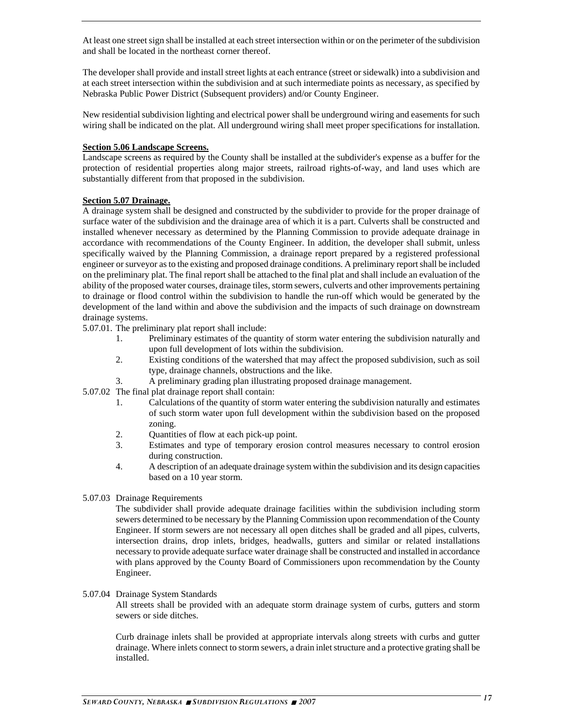At least one street sign shall be installed at each street intersection within or on the perimeter of the subdivision and shall be located in the northeast corner thereof.

The developer shall provide and install street lights at each entrance (street or sidewalk) into a subdivision and at each street intersection within the subdivision and at such intermediate points as necessary, as specified by Nebraska Public Power District (Subsequent providers) and/or County Engineer.

New residential subdivision lighting and electrical power shall be underground wiring and easements for such wiring shall be indicated on the plat. All underground wiring shall meet proper specifications for installation.

#### **Section 5.06 Landscape Screens.**

Landscape screens as required by the County shall be installed at the subdivider's expense as a buffer for the protection of residential properties along major streets, railroad rights-of-way, and land uses which are substantially different from that proposed in the subdivision.

#### **Section 5.07 Drainage.**

A drainage system shall be designed and constructed by the subdivider to provide for the proper drainage of surface water of the subdivision and the drainage area of which it is a part. Culverts shall be constructed and installed whenever necessary as determined by the Planning Commission to provide adequate drainage in accordance with recommendations of the County Engineer. In addition, the developer shall submit, unless specifically waived by the Planning Commission, a drainage report prepared by a registered professional engineer or surveyor as to the existing and proposed drainage conditions. A preliminary report shall be included on the preliminary plat. The final report shall be attached to the final plat and shall include an evaluation of the ability of the proposed water courses, drainage tiles, storm sewers, culverts and other improvements pertaining to drainage or flood control within the subdivision to handle the run-off which would be generated by the development of the land within and above the subdivision and the impacts of such drainage on downstream drainage systems.

5.07.01. The preliminary plat report shall include:

- 1. Preliminary estimates of the quantity of storm water entering the subdivision naturally and upon full development of lots within the subdivision.
- 2. Existing conditions of the watershed that may affect the proposed subdivision, such as soil type, drainage channels, obstructions and the like.
- 3. A preliminary grading plan illustrating proposed drainage management.

5.07.02 The final plat drainage report shall contain:

- 1. Calculations of the quantity of storm water entering the subdivision naturally and estimates of such storm water upon full development within the subdivision based on the proposed zoning.
- 2. Quantities of flow at each pick-up point.
- 3. Estimates and type of temporary erosion control measures necessary to control erosion during construction.
- 4. A description of an adequate drainage system within the subdivision and its design capacities based on a 10 year storm.
- 5.07.03 Drainage Requirements

 The subdivider shall provide adequate drainage facilities within the subdivision including storm sewers determined to be necessary by the Planning Commission upon recommendation of the County Engineer. If storm sewers are not necessary all open ditches shall be graded and all pipes, culverts, intersection drains, drop inlets, bridges, headwalls, gutters and similar or related installations necessary to provide adequate surface water drainage shall be constructed and installed in accordance with plans approved by the County Board of Commissioners upon recommendation by the County Engineer.

5.07.04 Drainage System Standards

All streets shall be provided with an adequate storm drainage system of curbs, gutters and storm sewers or side ditches.

Curb drainage inlets shall be provided at appropriate intervals along streets with curbs and gutter drainage. Where inlets connect to storm sewers, a drain inlet structure and a protective grating shall be installed.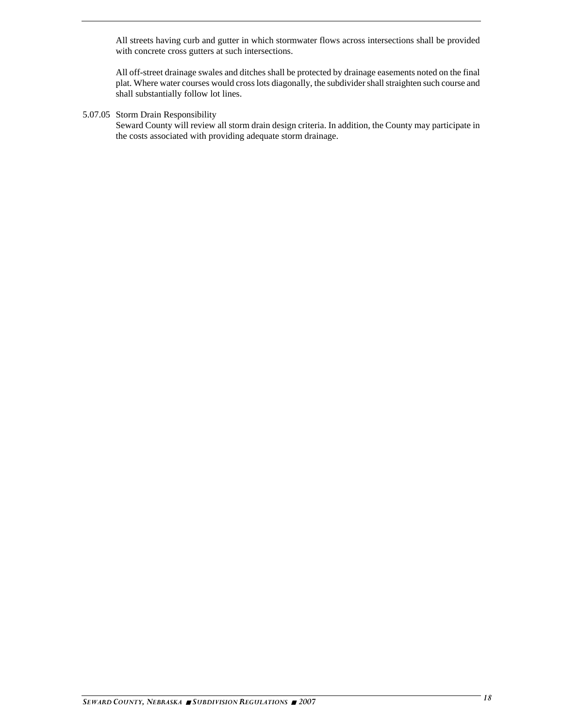All streets having curb and gutter in which stormwater flows across intersections shall be provided with concrete cross gutters at such intersections.

All off-street drainage swales and ditches shall be protected by drainage easements noted on the final plat. Where water courses would cross lots diagonally, the subdivider shall straighten such course and shall substantially follow lot lines.

#### 5.07.05 Storm Drain Responsibility

Seward County will review all storm drain design criteria. In addition, the County may participate in the costs associated with providing adequate storm drainage.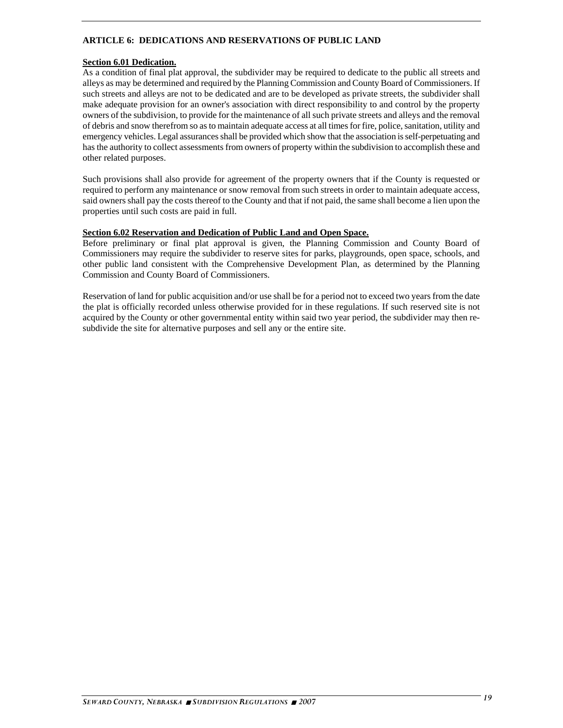#### **ARTICLE 6: DEDICATIONS AND RESERVATIONS OF PUBLIC LAND**

#### **Section 6.01 Dedication.**

As a condition of final plat approval, the subdivider may be required to dedicate to the public all streets and alleys as may be determined and required by the Planning Commission and County Board of Commissioners. If such streets and alleys are not to be dedicated and are to be developed as private streets, the subdivider shall make adequate provision for an owner's association with direct responsibility to and control by the property owners of the subdivision, to provide for the maintenance of all such private streets and alleys and the removal of debris and snow therefrom so as to maintain adequate access at all times for fire, police, sanitation, utility and emergency vehicles. Legal assurances shall be provided which show that the association is self-perpetuating and has the authority to collect assessments from owners of property within the subdivision to accomplish these and other related purposes.

Such provisions shall also provide for agreement of the property owners that if the County is requested or required to perform any maintenance or snow removal from such streets in order to maintain adequate access, said owners shall pay the costs thereof to the County and that if not paid, the same shall become a lien upon the properties until such costs are paid in full.

#### **Section 6.02 Reservation and Dedication of Public Land and Open Space.**

Before preliminary or final plat approval is given, the Planning Commission and County Board of Commissioners may require the subdivider to reserve sites for parks, playgrounds, open space, schools, and other public land consistent with the Comprehensive Development Plan, as determined by the Planning Commission and County Board of Commissioners.

Reservation of land for public acquisition and/or use shall be for a period not to exceed two years from the date the plat is officially recorded unless otherwise provided for in these regulations. If such reserved site is not acquired by the County or other governmental entity within said two year period, the subdivider may then resubdivide the site for alternative purposes and sell any or the entire site.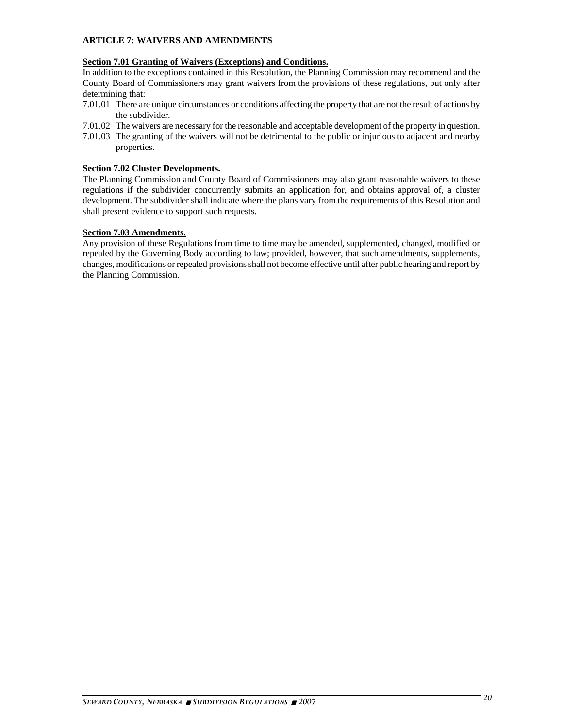#### **ARTICLE 7: WAIVERS AND AMENDMENTS**

#### **Section 7.01 Granting of Waivers (Exceptions) and Conditions.**

In addition to the exceptions contained in this Resolution, the Planning Commission may recommend and the County Board of Commissioners may grant waivers from the provisions of these regulations, but only after determining that:

- 7.01.01 There are unique circumstances or conditions affecting the property that are not the result of actions by the subdivider.
- 7.01.02 The waivers are necessary for the reasonable and acceptable development of the property in question.
- 7.01.03 The granting of the waivers will not be detrimental to the public or injurious to adjacent and nearby properties.

#### **Section 7.02 Cluster Developments.**

The Planning Commission and County Board of Commissioners may also grant reasonable waivers to these regulations if the subdivider concurrently submits an application for, and obtains approval of, a cluster development. The subdivider shall indicate where the plans vary from the requirements of this Resolution and shall present evidence to support such requests.

#### **Section 7.03 Amendments.**

Any provision of these Regulations from time to time may be amended, supplemented, changed, modified or repealed by the Governing Body according to law; provided, however, that such amendments, supplements, changes, modifications or repealed provisions shall not become effective until after public hearing and report by the Planning Commission.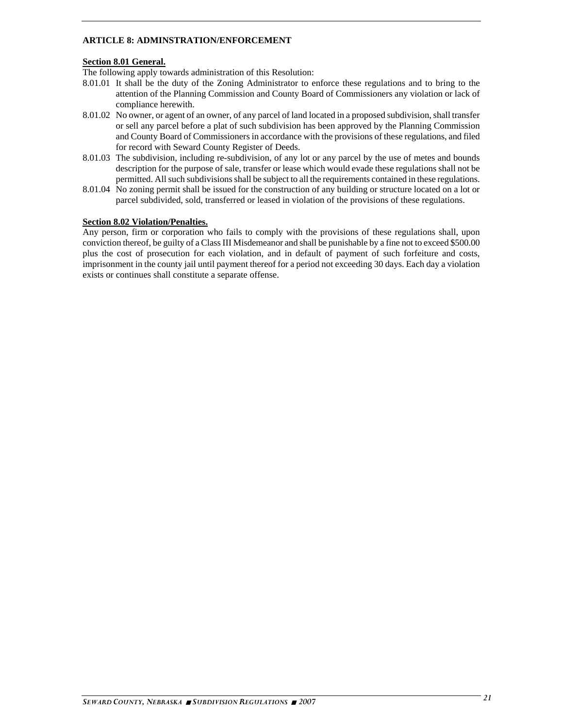#### **ARTICLE 8: ADMINSTRATION/ENFORCEMENT**

#### **Section 8.01 General.**

The following apply towards administration of this Resolution:

- 8.01.01 It shall be the duty of the Zoning Administrator to enforce these regulations and to bring to the attention of the Planning Commission and County Board of Commissioners any violation or lack of compliance herewith.
- 8.01.02 No owner, or agent of an owner, of any parcel of land located in a proposed subdivision, shall transfer or sell any parcel before a plat of such subdivision has been approved by the Planning Commission and County Board of Commissioners in accordance with the provisions of these regulations, and filed for record with Seward County Register of Deeds.
- 8.01.03 The subdivision, including re-subdivision, of any lot or any parcel by the use of metes and bounds description for the purpose of sale, transfer or lease which would evade these regulations shall not be permitted. All such subdivisions shall be subject to all the requirements contained in these regulations.
- 8.01.04 No zoning permit shall be issued for the construction of any building or structure located on a lot or parcel subdivided, sold, transferred or leased in violation of the provisions of these regulations.

#### **Section 8.02 Violation/Penalties.**

Any person, firm or corporation who fails to comply with the provisions of these regulations shall, upon conviction thereof, be guilty of a Class III Misdemeanor and shall be punishable by a fine not to exceed \$500.00 plus the cost of prosecution for each violation, and in default of payment of such forfeiture and costs, imprisonment in the county jail until payment thereof for a period not exceeding 30 days. Each day a violation exists or continues shall constitute a separate offense.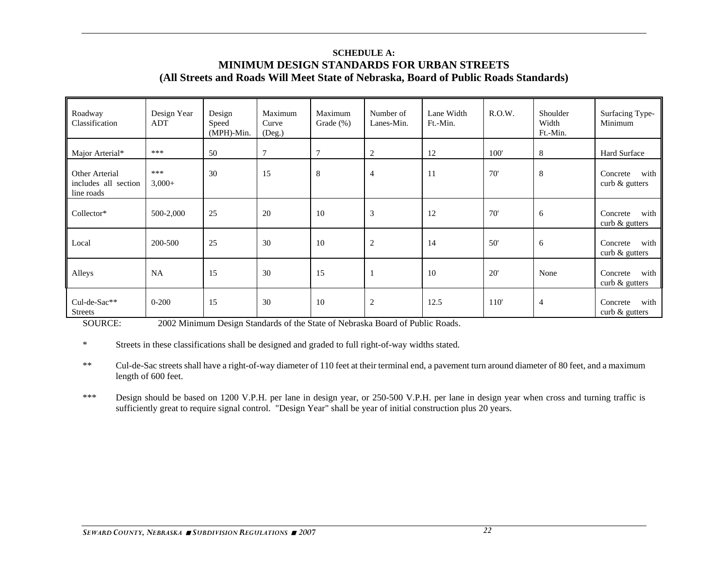### **SCHEDULE A:MINIMUM DESIGN STANDARDS FOR URBAN STREETS (All Streets and Roads Will Meet State of Nebraska, Board of Public Roads Standards)**

| Roadway<br>Classification                            | Design Year<br>ADT | Design<br>Speed<br>$(MPH)-Min.$ | Maximum<br>Curve<br>(Deg.) | Maximum<br>Grade $(\%)$ | Number of<br>Lanes-Min. | Lane Width<br>Ft.-Min. | R.O.W. | Shoulder<br>Width<br>Ft.-Min. | Surfacing Type-<br>Minimum           |
|------------------------------------------------------|--------------------|---------------------------------|----------------------------|-------------------------|-------------------------|------------------------|--------|-------------------------------|--------------------------------------|
| Major Arterial*                                      | ***                | 50                              | $\tau$                     | 7                       | 2                       | 12                     | 100'   | 8                             | Hard Surface                         |
| Other Arterial<br>includes all section<br>line roads | ***<br>$3,000+$    | 30                              | 15                         | 8                       | $\overline{4}$          | 11                     | 70'    | 8                             | with<br>Concrete<br>curb & gutters   |
| Collector*                                           | 500-2,000          | 25                              | 20                         | 10                      | 3                       | 12                     | 70'    | 6                             | with<br>Concrete<br>curb $&$ gutters |
| Local                                                | 200-500            | 25                              | 30                         | 10                      | $\overline{c}$          | 14                     | 50'    | 6                             | with<br>Concrete<br>curb & gutters   |
| Alleys                                               | <b>NA</b>          | 15                              | 30                         | 15                      | 1                       | 10                     | 20'    | None                          | with<br>Concrete<br>curb & gutters   |
| Cul-de-Sac**<br><b>Streets</b>                       | $0 - 200$          | 15                              | 30                         | 10                      | $\overline{c}$          | 12.5                   | 110'   | $\overline{4}$                | with<br>Concrete<br>curb $&$ gutters |

SOURCE: 2002 Minimum Design Standards of the State of Nebraska Board of Public Roads.

<sup>\*</sup> Streets in these classifications shall be designed and graded to full right-of-way widths stated.

<sup>\*\*</sup> Cul-de-Sac streets shall have a right-of-way diameter of 110 feet at their terminal end, a pavement turn around diameter of 80 feet, and a maximum length of 600 feet.

<sup>\*\*\*</sup> Design should be based on 1200 V.P.H. per lane in design year, or 250-500 V.P.H. per lane in design year when cross and turning traffic is sufficiently great to require signal control. "Design Year" shall be year of initial construction plus 20 years.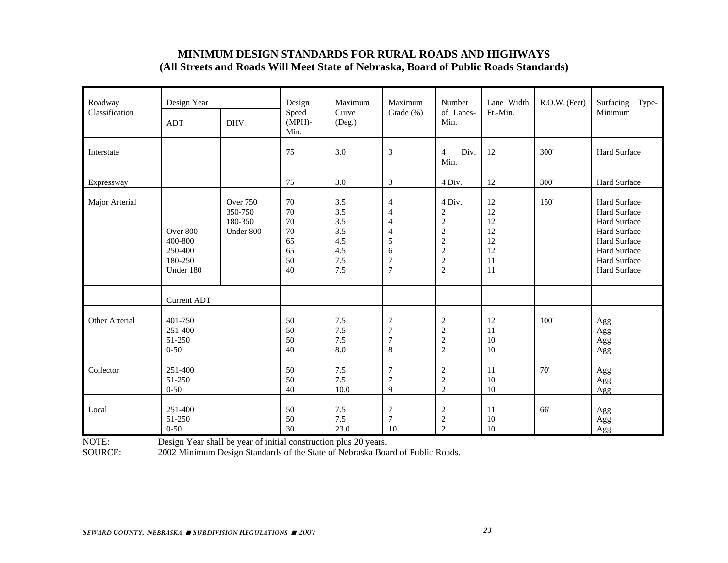## **MINIMUM DESIGN STANDARDS FOR RURAL ROADS AND HIGHWAYS (All Streets and Roads Will Meet State of Nebraska, Board of Public Roads Standards)**

| Roadway<br>Classification | Design Year<br><b>ADT</b>                              | <b>DHV</b>                                         | Design<br>Speed<br>$(MPH)$ -<br>Min.         | Maximum<br>Curve<br>(Deg.)                           | Maximum<br>Grade (%)                                                                                    | Number<br>of Lanes-<br>Min.                                                                                      | Lane Width<br>Ft.-Min.                       | R.O.W. (Feet) | Surfacing<br>Type-<br>Minimum                                                                                                       |
|---------------------------|--------------------------------------------------------|----------------------------------------------------|----------------------------------------------|------------------------------------------------------|---------------------------------------------------------------------------------------------------------|------------------------------------------------------------------------------------------------------------------|----------------------------------------------|---------------|-------------------------------------------------------------------------------------------------------------------------------------|
| Interstate                |                                                        |                                                    | 75                                           | 3.0                                                  | 3                                                                                                       | $\overline{4}$<br>Div.<br>Min.                                                                                   | 12                                           | 300'          | Hard Surface                                                                                                                        |
| Expressway                |                                                        |                                                    | 75                                           | 3.0                                                  | 3                                                                                                       | 4 Div.                                                                                                           | 12                                           | 300'          | Hard Surface                                                                                                                        |
| Major Arterial            | Over 800<br>400-800<br>250-400<br>180-250<br>Under 180 | <b>Over 750</b><br>350-750<br>180-350<br>Under 800 | 70<br>70<br>70<br>70<br>65<br>65<br>50<br>40 | 3.5<br>3.5<br>3.5<br>3.5<br>4.5<br>4.5<br>7.5<br>7.5 | $\overline{4}$<br>4<br>$\overline{4}$<br>$\overline{4}$<br>5<br>6<br>$\boldsymbol{7}$<br>$\overline{7}$ | 4 Div.<br>$\overline{c}$<br>$\sqrt{2}$<br>$\sqrt{2}$<br>$\sqrt{2}$<br>$\sqrt{2}$<br>$\sqrt{2}$<br>$\overline{2}$ | 12<br>12<br>12<br>12<br>12<br>12<br>11<br>11 | 150           | Hard Surface<br><b>Hard Surface</b><br>Hard Surface<br>Hard Surface<br>Hard Surface<br>Hard Surface<br>Hard Surface<br>Hard Surface |
|                           | <b>Current ADT</b>                                     |                                                    |                                              |                                                      |                                                                                                         |                                                                                                                  |                                              |               |                                                                                                                                     |
| Other Arterial            | 401-750<br>251-400<br>51-250<br>$0 - 50$               |                                                    | 50<br>50<br>50<br>40                         | 7.5<br>7.5<br>7.5<br>8.0                             | 7<br>$\overline{7}$<br>$\tau$<br>$\,$ 8 $\,$                                                            | $\sqrt{2}$<br>$\sqrt{2}$<br>$\sqrt{2}$<br>$\overline{2}$                                                         | 12<br>11<br>10<br>10                         | 100'          | Agg.<br>Agg.<br>Agg.<br>Agg.                                                                                                        |
| Collector                 | 251-400<br>51-250<br>$0 - 50$                          |                                                    | 50<br>50<br>40                               | 7.5<br>7.5<br>10.0                                   | 7<br>$\overline{7}$<br>9                                                                                | $\boldsymbol{2}$<br>$\sqrt{2}$<br>$\overline{2}$                                                                 | 11<br>10<br>10                               | 70'           | Agg.<br>Agg.<br>Agg.                                                                                                                |
| Local                     | 251-400<br>51-250<br>$0 - 50$                          |                                                    | 50<br>50<br>30                               | 7.5<br>7.5<br>23.0                                   | $\boldsymbol{7}$<br>$\overline{7}$<br>10                                                                | $\sqrt{2}$<br>$\sqrt{2}$<br>$\sqrt{2}$                                                                           | 11<br>10<br>10                               | 66'           | Agg.<br>Agg.<br>Agg.                                                                                                                |

NOTE: Design Year shall be year of initial construction plus 20 years.<br>SOURCE: 2002 Minimum Design Standards of the State of Nebraska Boa

2002 Minimum Design Standards of the State of Nebraska Board of Public Roads.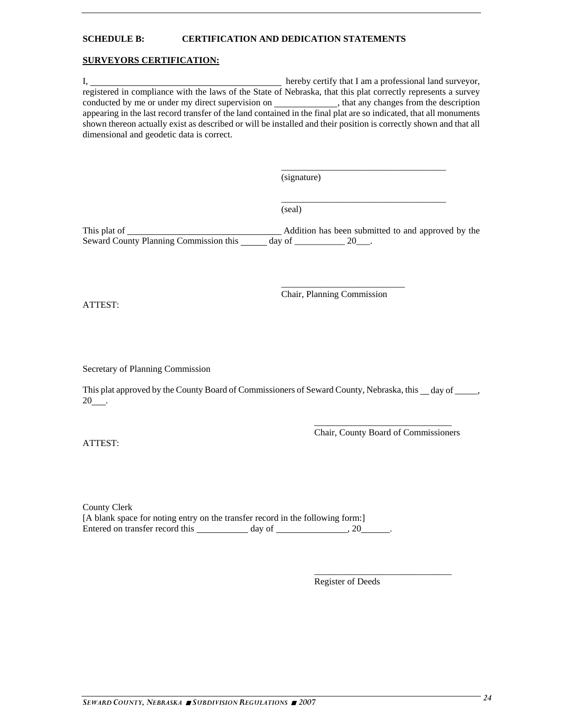#### **SCHEDULE B: CERTIFICATION AND DEDICATION STATEMENTS**

#### **SURVEYORS CERTIFICATION:**

I, hereby certify that I am a professional land surveyor, registered in compliance with the laws of the State of Nebraska, that this plat correctly represents a survey conducted by me or under my direct supervision on \_\_\_\_\_\_\_\_\_\_\_\_\_\_, that any changes from the description appearing in the last record transfer of the land contained in the final plat are so indicated, that all monuments shown thereon actually exist as described or will be installed and their position is correctly shown and that all dimensional and geodetic data is correct.

 $\_$ 

 $\_$ 

(signature)

(seal)

This plat of Addition has been submitted to and approved by the Seward County Planning Commission this day of \_\_\_\_\_\_\_\_\_\_ 20\_\_\_.

ATTEST:

Chair, Planning Commission

\_\_\_\_\_\_\_\_\_\_\_\_\_\_\_\_\_\_\_\_\_\_\_\_\_\_\_

Secretary of Planning Commission

This plat approved by the County Board of Commissioners of Seward County, Nebraska, this \_\_day of \_\_\_\_\_, 20 .

ATTEST:

Chair, County Board of Commissioners

 $\frac{1}{\sqrt{2}}$  ,  $\frac{1}{\sqrt{2}}$  ,  $\frac{1}{\sqrt{2}}$  ,  $\frac{1}{\sqrt{2}}$  ,  $\frac{1}{\sqrt{2}}$  ,  $\frac{1}{\sqrt{2}}$  ,  $\frac{1}{\sqrt{2}}$  ,  $\frac{1}{\sqrt{2}}$  ,  $\frac{1}{\sqrt{2}}$  ,  $\frac{1}{\sqrt{2}}$  ,  $\frac{1}{\sqrt{2}}$  ,  $\frac{1}{\sqrt{2}}$  ,  $\frac{1}{\sqrt{2}}$  ,  $\frac{1}{\sqrt{2}}$  ,  $\frac{1}{\sqrt{2}}$ 

County Clerk [A blank space for noting entry on the transfer record in the following form:] Entered on transfer record this day of , 20 .

Register of Deeds

 $\overline{\phantom{a}}$  , and the contract of the contract of the contract of the contract of the contract of the contract of the contract of the contract of the contract of the contract of the contract of the contract of the contrac